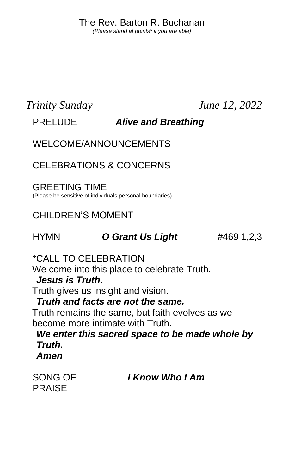# *Trinity Sunday June 12, 2022* PRELUDE *Alive and Breathing* WELCOME/ANNOUNCEMENTS CELEBRATIONS & CONCERNS GREETING TIME (Please be sensitive of individuals personal boundaries) CHILDREN'S MOMENT HYMN *O Grant Us Light* #469 1,2,3 \*CALL TO CELEBRATION We come into this place to celebrate Truth. *Jesus is Truth.* Truth gives us insight and vision. *Truth and facts are not the same.* Truth remains the same, but faith evolves as we become more intimate with Truth. *We enter this sacred space to be made whole by Truth. Amen*

SONG OF PRAISE

*I Know Who I Am*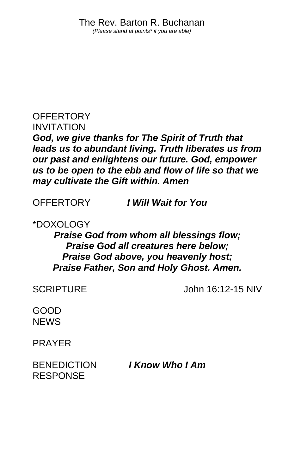## **OFFERTORY** INVITATION

*God, we give thanks for The Spirit of Truth that leads us to abundant living. Truth liberates us from our past and enlightens our future. God, empower us to be open to the ebb and flow of life so that we may cultivate the Gift within. Amen*

OFFERTORY *I Will Wait for You*

\*DOXOLOGY

*Praise God from whom all blessings flow; Praise God all creatures here below; Praise God above, you heavenly host; Praise Father, Son and Holy Ghost. Amen.*

SCRIPTURE John 16:12-15 NIV

GOOD **NEWS** 

PRAYER

**BENEDICTION** RESPONSE

*I Know Who I Am*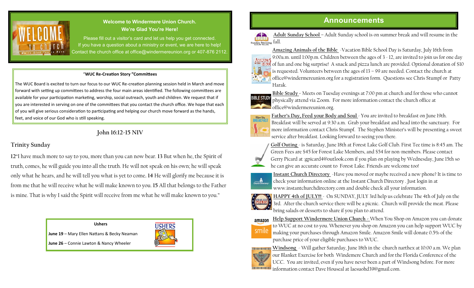

### **Welcome to Windermere Union Church. We're Glad You're Here!**

Please fill out a visitor's card and let us help you get connected. If you have a question about a ministry or event, we are here to help! Contact the church office at office@windermereunion.org or 407-876 2112.

#### "**WUC Re-Creation Story "Committees**

The WUC Board is excited to turn our focus to our WUC Re-creation planning session held in March and move forward with setting up committees to address the four main areas identified. The following committees are available for your participation marketing, worship, social outreach, youth and children. We request that if you are interested in serving on one of the committees that you contact the church office. We hope that each of you will give serious consideration to participating and helping our church move forward as the hands, feet, and voice of our God who is still speaking.

### **John 16:12-15 NIV**

### **Trinity Sunday**

**12**"I have much more to say to you, more than you can now bear. **13** But when he, the Spirit of truth, comes, he will guide you into all the truth. He will not speak on his own; he will speak only what he hears, and he will tell you what is yet to come**. 14** He will glorify me because it is from me that he will receive what he will make known to you. **15** All that belongs to the Father is mine. That is why I said the Spirit will receive from me what he will make known to you."

**Ushers**

**June 19** – Mary Ellen Nattans & Becky Neaman



**June 26** – Connie Lawton & Nancy Wheeler



**Instant Church Directory** -Have you moved or maybe received a new phone? It is time to check your information online at the Instant Church Directory . Just login in at www.instantchurchdirectory.com and double check all your information.



Instant **n** 

**HAPPY 4th of JULY!!!** - On SUNDAY, JULY 3rd help us celebrate The 4th of July on the 3rd. After the church service there will be a picnic. Church will provide the meat. Please bring salads or desserts to share if you plan to attend.

**Help Support Windermere Union Church -** When You Shop on Amazon you can donate amazon

he can give an accurate count to Forest Lake. Friends are welcome too!



to WUC at no cost to you. Whenever you shop on Amazon you can help support WUC by making your purchases through Amazon Smile. Amazon Smile will donate 0.5% of the purchase price of your eligible purchases to WUC.



**Windsong** - Will gather Saturday, June 18th in the church narthex at 10:00 a.m. We plan our Blanket Exercise for both Windemere Church and for the Florida Conference of the UCC. You are invited, even if you have never been a part of Windsong before. For more **EXERVATION** information contact Dave Houseal at laesuohd39@gmail.com.

### **Announcements**



**Adult Sunday School** – Adult Sunday school is on summer break and will resume in the

**Amazing Animals of the Bible** -Vacation Bible School Day is Saturday, July 16th from 9:00a.m. until 1:00p.m. Children between the ages of 3 - 12, are invited to join us for one day of fun and one big surprise! A snack and pizza lunch are provided. Optional donation of \$10 is requested. Volunteers between the ages of 13 – 99 are needed. Contact the church at office@windermereunion.org for a registration form. Questions see Chris Stumpf or Patty Harak.



**Bible Study -** Meets on Tuesday evenings at 7:00 pm at church and for those who cannot physically attend via Zoom. For more information contact the church office at office@windermereunion.org.

Tathers' Day<br>REAKEA

**Father's Day, Feed your Body and Soul** - You are invited to breakfast on June 19th. Breakfast will be served at 9:30 a.m. Grab your breakfast and head into the sanctuary. For more information contact Chris Stumpf. The Stephen Minister's will be presenting a sweet service after breakfast. Looking forward to seeing you there.

**Golf Outing** - is Saturday, June 18th at Forest Lake Golf Club. First Tee time is 8:45 am. The Green Fees are \$45 for Forest Lake Members, and \$54 for non-members. Please contact Gerry Picard at :gpicard4@outlook.com if you plan on playing by Wednesday, June 15th so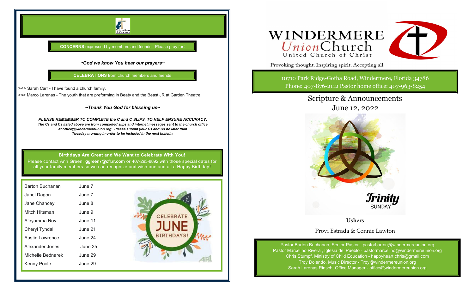

#### *~God we know You hear our prayers~*

**CELEBRATIONS** from church members and friends

><> Sarah Carr - I have found a church family.

><> Marco Larenas - The youth that are preforming in Beaty and the Beast JR at Garden Theatre.

*~Thank You God for blessing us~*

*PLEASE REMEMBER TO COMPLETE the C and C SLIPS, TO HELP ENSURE ACCURACY. The Cs and Cs listed above are from completed slips and internet messages sent to the church office at office@windermereunion.org. Please submit your Cs and Cs no later than Tuesday morning in order to be included in the next bulletin.*

**Birthdays Are Great and We Want to Celebrate With You!**

Please contact Ann Green, **[ggreen7@cfl.rr.com](mailto:ggreen7@cfl.rr.com)** or 407-293-8892 with those special dates for all your family members so we can recognize and wish one and all a Happy Birthday!

| Barton Buchanan   | June 7  |
|-------------------|---------|
| Janel Dagon       | June 7  |
| Jane Chancey      | June 8  |
| Mitch Hitsman     | June 9  |
| Aleyamma Roy      | June 11 |
| Cheryl Tyndall    | June 21 |
| Austin Lawrence   | June 24 |
| Alexander Jones   | June 25 |
| Michelle Bednarek | June 29 |
| Kenny Poole       | June 29 |





Provoking thought. Inspiring spirit. Accepting all.

10710 Park Ridge-Gotha Road, Windermere, Florida 34786 Phone: 407-876-2112 Pastor home office: 407-963-8254

### Scripture & Announcements

June 12, 2022



**Ushers**

Provi Estrada & Connie Lawton

Pastor Barton Buchanan, Senior Pastor - pastorbarton@windermereunion.org Pastor Marcelino Rivera , Iglesia del Pueblo - pastormarcelino@windermereunion.org Chris Stumpf, Ministry of Child Education - happyheart.chris@gmail.com Troy Dolendo, Music Director - Troy@windermereunion.org Sarah Larenas Rinsch, Office Manager - office@windermereunion.org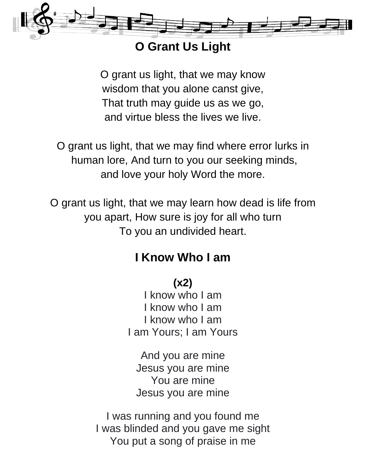

## **O Grant Us Light**

O grant us light, that we may know wisdom that you alone canst give, That truth may guide us as we go, and virtue bless the lives we live.

O grant us light, that we may find where error lurks in human lore, And turn to you our seeking minds, and love your holy Word the more.

O grant us light, that we may learn how dead is life from you apart, How sure is joy for all who turn To you an undivided heart.

## **I Know Who I am**

**(x2)**

I know who I am I know who I am I know who I am I am Yours; I am Yours

And you are mine Jesus you are mine You are mine Jesus you are mine

I was running and you found me I was blinded and you gave me sight You put a song of praise in me